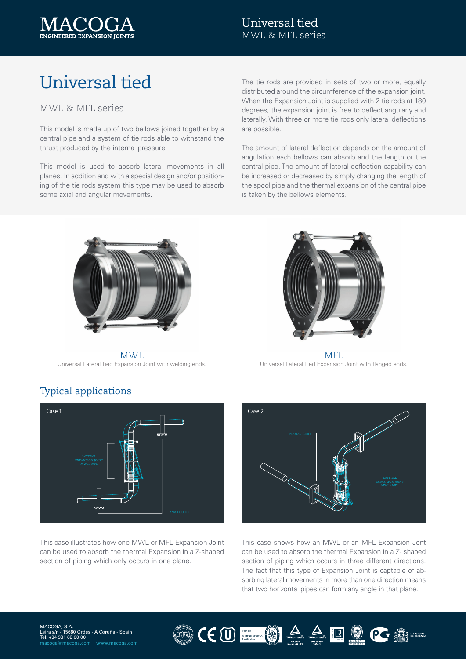

### Universal tied MWL & MFL series

# Universal tied

#### MWL & MFL series

This model is made up of two bellows joined together by a central pipe and a system of tie rods able to withstand the thrust produced by the internal pressure.

This model is used to absorb lateral movements in all planes. In addition and with a special design and/or positioning of the tie rods system this type may be used to absorb some axial and angular movements.

The tie rods are provided in sets of two or more, equally distributed around the circumference of the expansion joint. When the Expansion Joint is supplied with 2 tie rods at 180 degrees, the expansion joint is free to deflect angularly and laterally. With three or more tie rods only lateral deflections are possible.

The amount of lateral deflection depends on the amount of angulation each bellows can absorb and the length or the central pipe. The amount of lateral deflection capability can be increased or decreased by simply changing the length of the spool pipe and the thermal expansion of the central pipe is taken by the bellows elements.



MWL Universal Lateral Tied Expansion Joint with welding ends.



MFL Universal Lateral Tied Expansion Joint with flanged ends.



This case illustrates how one MWL or MFL Expansion Joint can be used to absorb the thermal Expansion in a Z-shaped section of piping which only occurs in one plane.



This case shows how an MWL or an MFL Expansion Jont can be used to absorb the thermal Expansion in a Z- shaped section of piping which occurs in three different directions. The fact that this type of Expansion Joint is captable of absorbing lateral movements in more than one direction means that two horizontal pipes can form any angle in that plane.

## Typical applications

MACOGA, S.A.<br>Leira s/n - 15680 Ordes - A Coruña - Spain ان ان ان ان ان<br>34 981 68 00 00+ [macoga@macoga.com](mailto:macoga%40macoga.com?subject=) [www.macoga.com](http://www.macoga.com/)